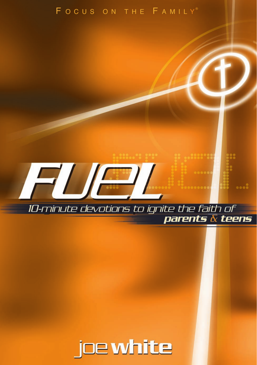## FOCUS ON THE FAMILY®



10-minute devotions to ignite the faith of

parents  $\overline{\overline{\alpha}}$  teens

FUEL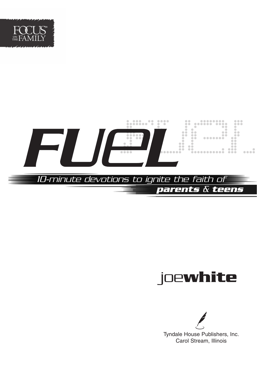



# joe**white**

Tyndale House Publishers, Inc. Carol Stream, Illinois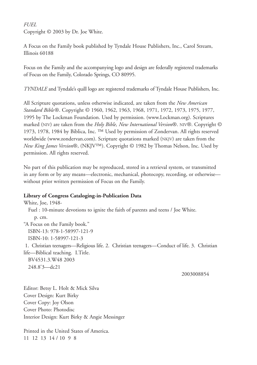## *FUEL*

Copyright © 2003 by Dr. Joe White.

A Focus on the Family book published by Tyndale House Publishers, Inc., Carol Stream, Illinois 60188

Focus on the Family and the accompanying logo and design are federally registered trademarks of Focus on the Family, Colorado Springs, CO 80995.

*TYNDALE* and Tyndale's quill logo are registered trademarks of Tyndale House Publishers, Inc.

All Scripture quotations, unless otherwise indicated, are taken from the *New American Standard Bible*®. Copyright © 1960, 1962, 1963, 1968, 1971, 1972, 1973, 1975, 1977, 1995 by The Lockman Foundation. Used by permission. (www.Lockman.org). Scriptures marked (NIV) are taken from the *Holy Bible, New International Version*®. NIV®. Copyright © 1973, 1978, 1984 by Biblica, Inc. ™ Used by permission of Zondervan. All rights reserved worldwide (www.zondervan.com). Scripture quotations marked (NKJV) are taken from the *New King James Version*®, (NKJV™). Copyright © 1982 by Thomas Nelson, Inc. Used by permission. All rights reserved.

No part of this publication may be reproduced, stored in a retrieval system, or transmitted in any form or by any means—electronic, mechanical, photocopy, recording, or otherwise without prior written permission of Focus on the Family.

### **Library of Congress Cataloging-in-Publication Data**

White, Joe, 1948- Fuel : 10-minute devotions to ignite the faith of parents and teens / Joe White. p. cm. "A Focus on the Family book." ISBN-13: 978-1-58997-121-9 ISBN-10: 1-58997-121-3 1. Christian teenagers—Religious life. 2. Christian teenagers—Conduct of life. 3. Christian life—Biblical teaching. I.Title. BV4531.3.W48 2003 248.8'3—dc21

2003008854

Editor: Betsy L. Holt & Mick Silva Cover Design: Kurt Birky Cover Copy: Joy Olson Cover Photo: Photodisc Interior Design: Kurt Birky & Angie Messinger

Printed in the United States of America. 11 12 13 14 / 10 9 8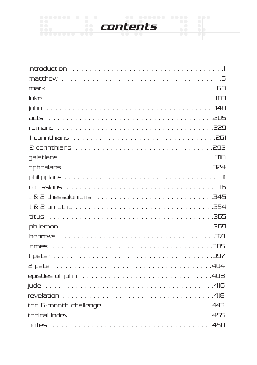

| the 6-month challenge $\ldots \ldots \ldots \ldots \ldots \ldots \ldots \ldots .443$ |  |
|--------------------------------------------------------------------------------------|--|
|                                                                                      |  |
|                                                                                      |  |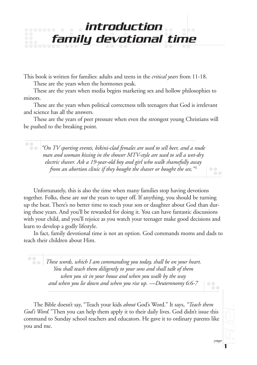# <span id="page-4-0"></span>introduction family devotional time

This book is written for families: adults and teens in the *critical years* from 11-18. These are the years when the hormones peak.

These are the years when media begins marketing sex and hollow philosophies to minors.

These are the years when political correctness tells teenagers that God is irrelevant and science has all the answers.

These are the years of peer pressure when even the strongest young Christians will be pushed to the breaking point.

*"On TV sporting events, bikini-clad females are used to sell beer, and a nude man and woman kissing in the shower MTV-style are used to sell a wet-dry electric shaver. Ask a 19-year-old boy and girl who walk shamefully away from an abortion clinic if they bought the shaver or bought the sex."*<sup>1</sup>

Unfortunately, this is also the time when many families stop having devotions together. Folks, these are *not* the years to taper off. If anything, you should be turning up the heat. There's no better time to teach your son or daughter about God than during these years. And you'll be rewarded for doing it. You can have fantastic discussions with your child, and you'll rejoice as you watch your teenager make good decisions and learn to develop a godly lifestyle.

In fact, family devotional time is not an option. God commands moms and dads to teach their children about Him.

*These words, which I am commanding you today, shall be on your heart. You shall teach them diligently to your sons and shall talk of them when you sit in your house and when you walk by the way and when you lie down and when you rise up. —Deuteronomy 6:6-7*

The Bible doesn't say, "Teach your kids *about* God's Word." It says, *"Teach them God's Word."* Then you can help them apply it to their daily lives. God didn't issue this command to Sunday school teachers and educators. He gave it to ordinary parents like you and me.

page

 $\bullet$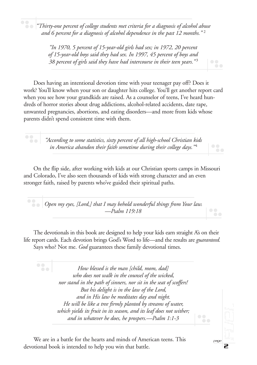*"Thirty-one percent of college students met criteria for a diagnosis of alcohol abuse and 6 percent for a diagnosis of alcohol dependence in the past 12 months."* <sup>2</sup>

> *"In 1970, 5 percent of 15-year-old girls had sex; in 1972, 20 percent of 15-year-old boys said they had sex. In 1997, 45 percent of boys and 38 percent of girls said they have had intercourse in their teen years."* <sup>3</sup>

Does having an intentional devotion time with your teenager pay off? Does it work? You'll know when your son or daughter hits college. You'll get another report card when you see how your grandkids are raised. As a counselor of teens, I've heard hundreds of horror stories about drug addictions, alcohol-related accidents, date rape, unwanted pregnancies, abortions, and eating disorders—and more from kids whose parents didn't spend consistent time with them.

*"According to some statistics, sixty percent of all high-school Christian kids in America abandon their faith sometime during their college days."* <sup>4</sup>

 $\bullet$   $\bullet$ 

 $\bullet$ 

On the flip side, after working with kids at our Christian sports camps in Missouri and Colorado, I've also seen thousands of kids with strong character and an even stronger faith, raised by parents who've guided their spiritual paths.

*Open my eyes, [Lord,] that I may behold wonderful things from Your law. —Psalm 119:18*

The devotionals in this book are designed to help your kids earn straight A's on their life report cards. Each devotion brings God's Word to life—and the results are *guaranteed.* Says who? Not me. *God* guarantees these family devotional times.

*How blessed is the man [child, mom, dad]*  $\bullet$   $\bullet$ *who does not walk in the counsel of the wicked, nor stand in the path of sinners, nor sit in the seat of scoffers! But his delight is in the law of the Lord, and in His law he meditates day and night. He will be like a tree firmly planted by streams of water, which yields its fruit in its season, and its leaf does not wither; and in whatever he does, he prospers.—Psalm 1:1-3*

We are in a battle for the hearts and minds of American teens. This devotional book is intended to help you win that battle.

page

 $\bullet$  $\bullet$   $\bullet$ 

 $\bullet$ 

 $\bullet$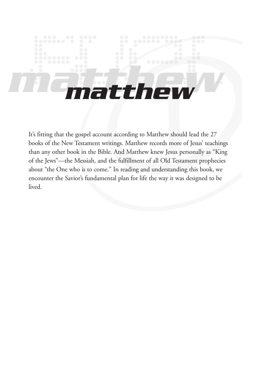# <span id="page-6-0"></span>*matthew matthew*

It's fitting that the gospel account according to Matthew should lead the 27 books of the New Testament writings. Matthew records more of Jesus' teachings than any other book in the Bible. And Matthew knew Jesus personally as "King of the Jews"—the Messiah, and the fulfillment of all Old Testament prophecies about "the One who is to come." In reading and understanding this book, we encounter the Savior's fundamental plan for life the way it was designed to be lived.